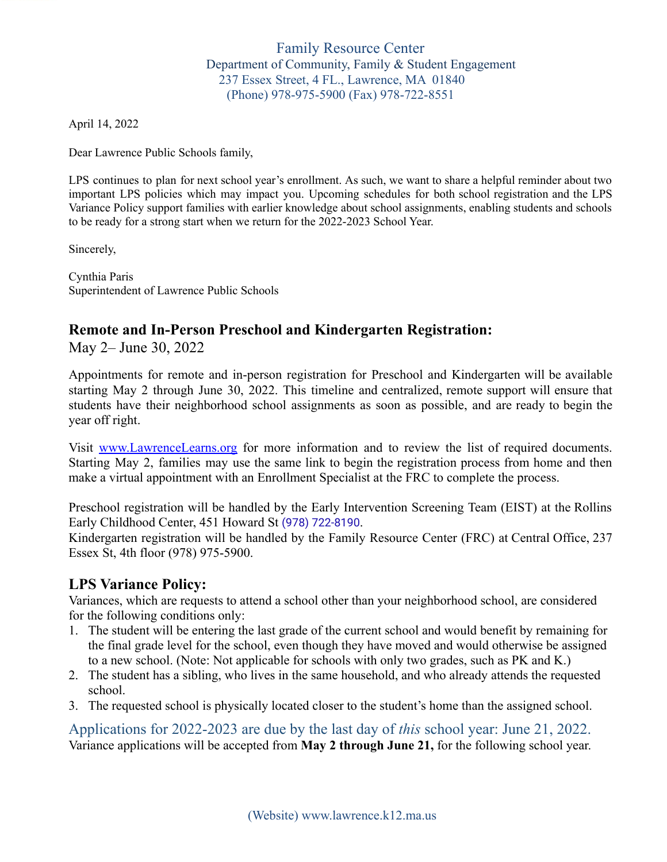### Family Resource Center Department of Community, Family & Student Engagement 237 Essex Street, 4 FL., Lawrence, MA 01840 (Phone) 978-975-5900 (Fax) 978-722-8551

April 14, 2022

Dear Lawrence Public Schools family,

LPS continues to plan for next school year's enrollment. As such, we want to share a helpful reminder about two important LPS policies which may impact you. Upcoming schedules for both school registration and the LPS Variance Policy support families with earlier knowledge about school assignments, enabling students and schools to be ready for a strong start when we return for the 2022-2023 School Year.

Sincerely,

Cynthia Paris Superintendent of Lawrence Public Schools

# **Remote and In-Person Preschool and Kindergarten Registration:**

May 2– June 30, 2022

Appointments for remote and in-person registration for Preschool and Kindergarten will be available starting May 2 through June 30, 2022. This timeline and centralized, remote support will ensure that students have their neighborhood school assignments as soon as possible, and are ready to begin the year off right.

Visit [www.LawrenceLearns.org](http://www.lawrencelearns.org) for more information and to review the list of required documents. Starting May 2, families may use the same link to begin the registration process from home and then make a virtual appointment with an Enrollment Specialist at the FRC to complete the process.

Preschool registration will be handled by the Early Intervention Screening Team (EIST) at the Rollins Early Childhood Center, 451 Howard St [\(978\) 722-8190](https://www.google.com/search?q=rollins+school+lawrence%2C+ma&rlz=1C1GCEA_enUS991US991&oq=rollins+school+lawrence%2C+ma&aqs=chrome..69i57j46i175i199i512j0i22i30l3.4903j0j7&sourceid=chrome&ie=UTF-8&safe=active&ssui=on#).

Kindergarten registration will be handled by the Family Resource Center (FRC) at Central Office, 237 Essex St, 4th floor (978) 975-5900.

# **LPS Variance Policy:**

Variances, which are requests to attend a school other than your neighborhood school, are considered for the following conditions only:

- 1. The student will be entering the last grade of the current school and would benefit by remaining for the final grade level for the school, even though they have moved and would otherwise be assigned to a new school. (Note: Not applicable for schools with only two grades, such as PK and K.)
- 2. The student has a sibling, who lives in the same household, and who already attends the requested school.
- 3. The requested school is physically located closer to the student's home than the assigned school.

Applications for 2022-2023 are due by the last day of *this* school year: June 21, 2022. Variance applications will be accepted from **May 2 through June 21,** for the following school year.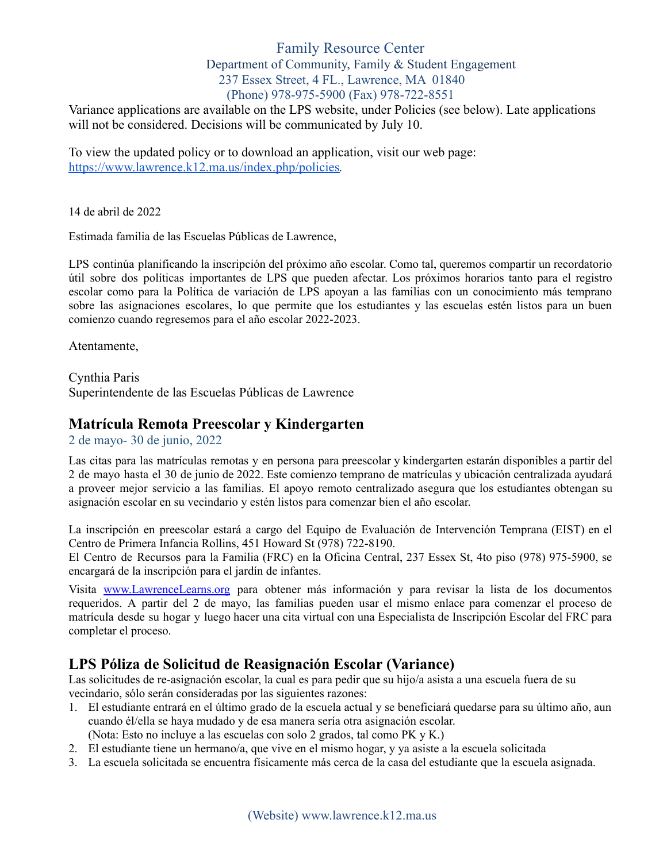#### Family Resource Center Department of Community, Family & Student Engagement 237 Essex Street, 4 FL., Lawrence, MA 01840 (Phone) 978-975-5900 (Fax) 978-722-8551

Variance applications are available on the LPS website, under Policies (see below). Late applications will not be considered. Decisions will be communicated by July 10.

To view the updated policy or to download an application, visit our web page: <https://www.lawrence.k12.ma.us/index.php/policies>*.*

14 de abril de 2022

Estimada familia de las Escuelas Públicas de Lawrence,

LPS continúa planificando la inscripción del próximo año escolar. Como tal, queremos compartir un recordatorio útil sobre dos políticas importantes de LPS que pueden afectar. Los próximos horarios tanto para el registro escolar como para la Política de variación de LPS apoyan a las familias con un conocimiento más temprano sobre las asignaciones escolares, lo que permite que los estudiantes y las escuelas estén listos para un buen comienzo cuando regresemos para el año escolar 2022-2023.

Atentamente,

Cynthia Paris Superintendente de las Escuelas Públicas de Lawrence

# **Matrícula Remota Preescolar y Kindergarten**

2 de mayo- 30 de junio, 2022

Las citas para las matrículas remotas y en persona para preescolar y kindergarten estarán disponibles a partir del 2 de mayo hasta el 30 de junio de 2022. Este comienzo temprano de matrículas y ubicación centralizada ayudará a proveer mejor servicio a las familias. El apoyo remoto centralizado asegura que los estudiantes obtengan su asignación escolar en su vecindario y estén listos para comenzar bien el año escolar.

La inscripción en preescolar estará a cargo del Equipo de Evaluación de Intervención Temprana (EIST) en el Centro de Primera Infancia Rollins, 451 Howard St (978) 722-8190.

El Centro de Recursos para la Familia (FRC) en la Oficina Central, 237 Essex St, 4to piso (978) 975-5900, se encargará de la inscripción para el jardín de infantes.

Visita [www.LawrenceLearns.org](http://www.lawrencelearns.org) para obtener más información y para revisar la lista de los documentos requeridos. A partir del 2 de mayo, las familias pueden usar el mismo enlace para comenzar el proceso de matrícula desde su hogar y luego hacer una cita virtual con una Especialista de Inscripción Escolar del FRC para completar el proceso.

# **LPS Póliza de Solicitud de Reasignación Escolar (Variance)**

Las solicitudes de re-asignación escolar, la cual es para pedir que su hijo/a asista a una escuela fuera de su vecindario, sólo serán consideradas por las siguientes razones:

- 1. El estudiante entrará en el último grado de la escuela actual y se beneficiará quedarse para su último año, aun cuando él/ella se haya mudado y de esa manera sería otra asignación escolar.
	- (Nota: Esto no incluye a las escuelas con solo 2 grados, tal como PK y K.)
- 2. El estudiante tiene un hermano/a, que vive en el mismo hogar, y ya asiste a la escuela solicitada
- 3. La escuela solicitada se encuentra físicamente más cerca de la casa del estudiante que la escuela asignada.